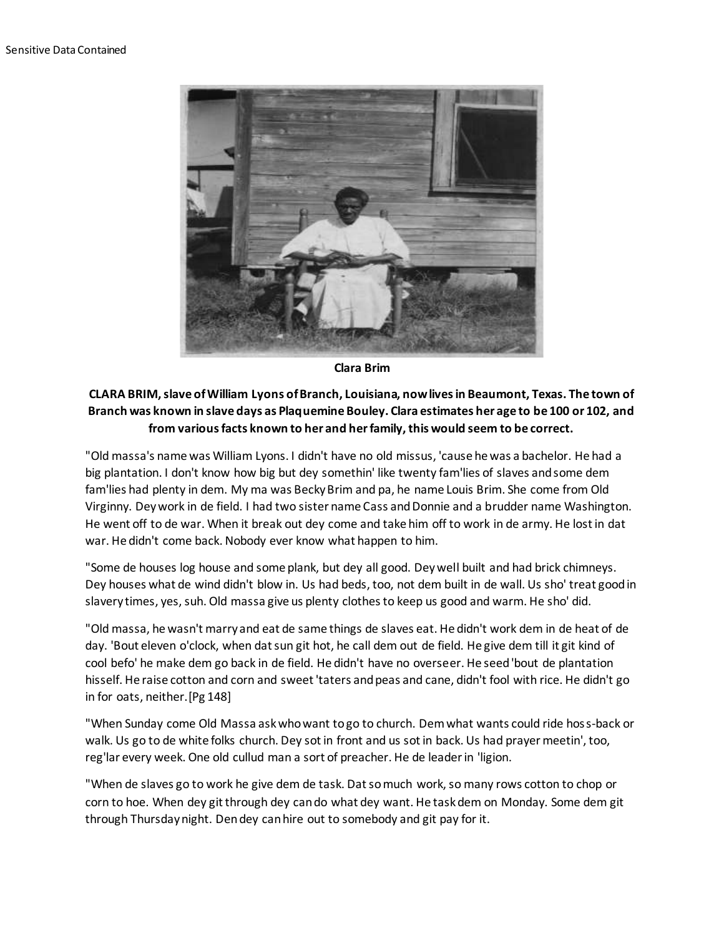

**Clara Brim**

## **CLARA BRIM, slave of William Lyons of Branch, Louisiana, now lives in Beaumont, Texas. The town of Branch was known in slave days as Plaquemine Bouley. Clara estimates her age to be 100 or 102, and from various facts known to her and her family, this would seem to be correct.**

"Old massa's name was William Lyons. I didn't have no old missus, 'cause he was a bachelor. He had a big plantation. I don't know how big but dey somethin' like twenty fam'lies of slaves and some dem fam'lies had plenty in dem. My ma was Becky Brim and pa, he name Louis Brim. She come from Old Virginny. Dey work in de field. I had two sister name Cass and Donnie and a brudder name Washington. He went off to de war. When it break out dey come and take him off to work in de army. He lost in dat war. He didn't come back. Nobody ever know what happen to him.

"Some de houses log house and some plank, but dey all good. Dey well built and had brick chimneys. Dey houses what de wind didn't blow in. Us had beds, too, not dem built in de wall. Us sho' treat good in slavery times, yes, suh. Old massa give us plenty clothes to keep us good and warm. He sho' did.

"Old massa, he wasn't marry and eat de same things de slaves eat. He didn't work dem in de heat of de day. 'Bout eleven o'clock, when dat sun git hot, he call dem out de field. He give dem till it git kind of cool befo' he make dem go back in de field. He didn't have no overseer. He seed 'bout de plantation hisself. He raise cotton and corn and sweet 'taters and peas and cane, didn't fool with rice. He didn't go in for oats, neither.[Pg 148]

"When Sunday come Old Massa ask who want to go to church. Dem what wants could ride hoss-back or walk. Us go to de white folks church. Dey sot in front and us sot in back. Us had prayer meetin', too, reg'lar every week. One old cullud man a sort of preacher. He de leader in 'ligion.

"When de slaves go to work he give dem de task. Dat so much work, so many rows cotton to chop or corn to hoe. When dey git through dey can do what dey want. He task dem on Monday. Some dem git through Thursday night. Den dey can hire out to somebody and git pay for it.